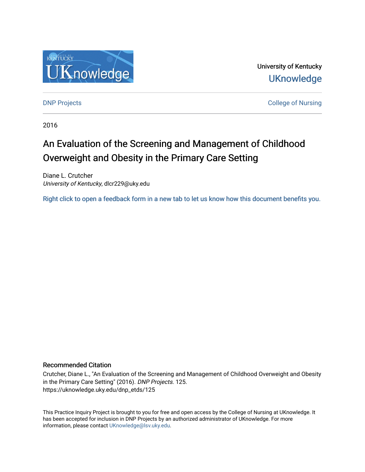

University of Kentucky **UKnowledge** 

**DNP Projects** College of Nursing

2016

# An Evaluation of the Screening and Management of Childhood Overweight and Obesity in the Primary Care Setting

Diane L. Crutcher University of Kentucky, dlcr229@uky.edu

[Right click to open a feedback form in a new tab to let us know how this document benefits you.](https://uky.az1.qualtrics.com/jfe/form/SV_9mq8fx2GnONRfz7)

## Recommended Citation

Crutcher, Diane L., "An Evaluation of the Screening and Management of Childhood Overweight and Obesity in the Primary Care Setting" (2016). DNP Projects. 125. https://uknowledge.uky.edu/dnp\_etds/125

This Practice Inquiry Project is brought to you for free and open access by the College of Nursing at UKnowledge. It has been accepted for inclusion in DNP Projects by an authorized administrator of UKnowledge. For more information, please contact [UKnowledge@lsv.uky.edu](mailto:UKnowledge@lsv.uky.edu).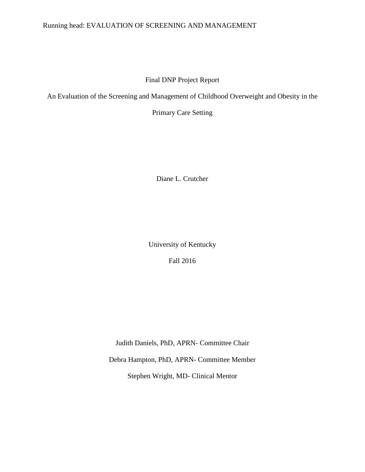# Running head: EVALUATION OF SCREENING AND MANAGEMENT

# Final DNP Project Report

An Evaluation of the Screening and Management of Childhood Overweight and Obesity in the

Primary Care Setting

Diane L. Crutcher

University of Kentucky Fall 2016

Judith Daniels, PhD, APRN- Committee Chair

Debra Hampton, PhD, APRN- Committee Member

Stephen Wright, MD- Clinical Mentor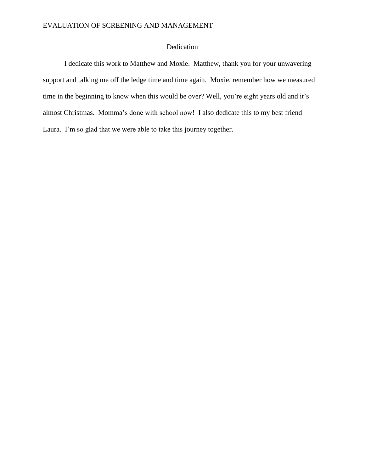# Dedication

I dedicate this work to Matthew and Moxie. Matthew, thank you for your unwavering support and talking me off the ledge time and time again. Moxie, remember how we measured time in the beginning to know when this would be over? Well, you're eight years old and it's almost Christmas. Momma's done with school now! I also dedicate this to my best friend Laura. I'm so glad that we were able to take this journey together.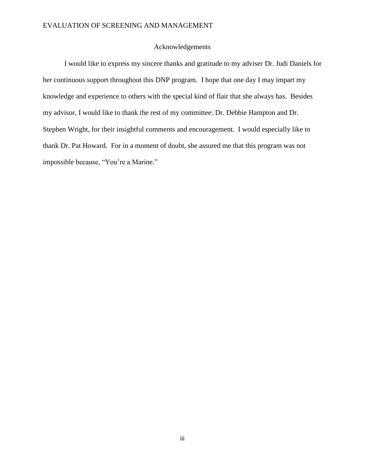### Acknowledgements

I would like to express my sincere thanks and gratitude to my adviser Dr. Judi Daniels for her continuous support throughout this DNP program. I hope that one day I may impart my knowledge and experience to others with the special kind of flair that she always has. Besides my advisor, I would like to thank the rest of my committee: Dr. Debbie Hampton and Dr. Stephen Wright, for their insightful comments and encouragement. I would especially like to thank Dr. Pat Howard. For in a moment of doubt, she assured me that this program was not impossible because, "You're a Marine."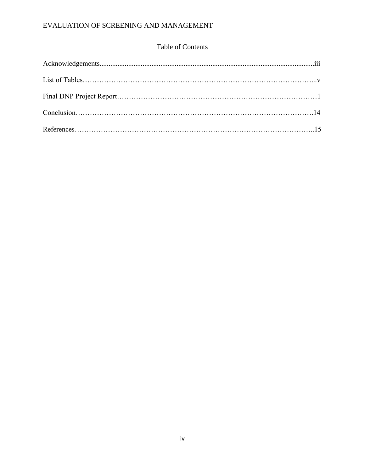# Table of Contents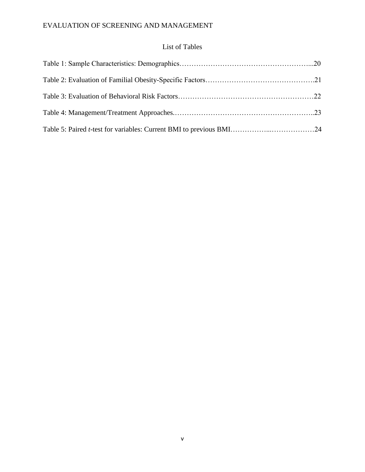# List of Tables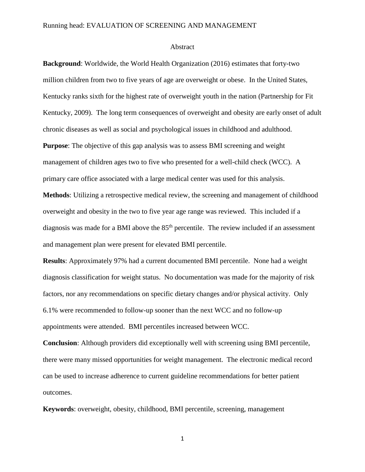### Running head: EVALUATION OF SCREENING AND MANAGEMENT

#### Abstract

**Background**: Worldwide, the World Health Organization (2016) estimates that forty-two million children from two to five years of age are overweight or obese. In the United States, Kentucky ranks sixth for the highest rate of overweight youth in the nation (Partnership for Fit Kentucky, 2009). The long term consequences of overweight and obesity are early onset of adult chronic diseases as well as social and psychological issues in childhood and adulthood. **Purpose**: The objective of this gap analysis was to assess BMI screening and weight management of children ages two to five who presented for a well-child check (WCC). A primary care office associated with a large medical center was used for this analysis.

**Methods**: Utilizing a retrospective medical review, the screening and management of childhood overweight and obesity in the two to five year age range was reviewed. This included if a diagnosis was made for a BMI above the  $85<sup>th</sup>$  percentile. The review included if an assessment and management plan were present for elevated BMI percentile.

**Results**: Approximately 97% had a current documented BMI percentile. None had a weight diagnosis classification for weight status. No documentation was made for the majority of risk factors, nor any recommendations on specific dietary changes and/or physical activity. Only 6.1% were recommended to follow-up sooner than the next WCC and no follow-up appointments were attended. BMI percentiles increased between WCC.

**Conclusion**: Although providers did exceptionally well with screening using BMI percentile, there were many missed opportunities for weight management. The electronic medical record can be used to increase adherence to current guideline recommendations for better patient outcomes.

**Keywords**: overweight, obesity, childhood, BMI percentile, screening, management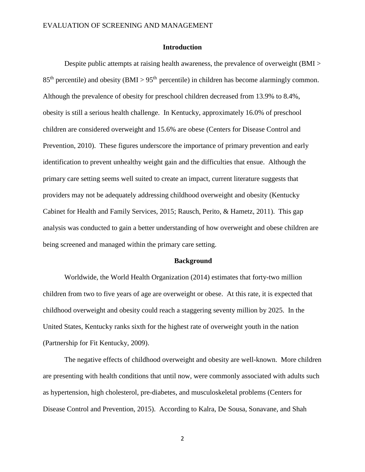### **Introduction**

Despite public attempts at raising health awareness, the prevalence of overweight (BMI >  $85<sup>th</sup>$  percentile) and obesity (BMI > 95<sup>th</sup> percentile) in children has become alarmingly common. Although the prevalence of obesity for preschool children decreased from 13.9% to 8.4%, obesity is still a serious health challenge. In Kentucky, approximately 16.0% of preschool children are considered overweight and 15.6% are obese (Centers for Disease Control and Prevention, 2010). These figures underscore the importance of primary prevention and early identification to prevent unhealthy weight gain and the difficulties that ensue. Although the primary care setting seems well suited to create an impact, current literature suggests that providers may not be adequately addressing childhood overweight and obesity (Kentucky Cabinet for Health and Family Services, 2015; Rausch, Perito, & Hametz, 2011). This gap analysis was conducted to gain a better understanding of how overweight and obese children are being screened and managed within the primary care setting.

#### **Background**

Worldwide, the World Health Organization (2014) estimates that forty-two million children from two to five years of age are overweight or obese. At this rate, it is expected that childhood overweight and obesity could reach a staggering seventy million by 2025. In the United States, Kentucky ranks sixth for the highest rate of overweight youth in the nation (Partnership for Fit Kentucky, 2009).

The negative effects of childhood overweight and obesity are well-known. More children are presenting with health conditions that until now, were commonly associated with adults such as hypertension, high cholesterol, pre-diabetes, and musculoskeletal problems (Centers for Disease Control and Prevention, 2015). According to Kalra, De Sousa, Sonavane, and Shah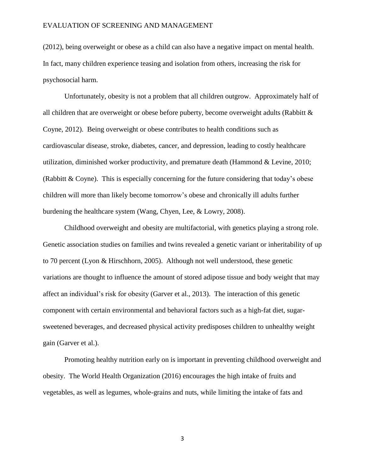(2012), being overweight or obese as a child can also have a negative impact on mental health. In fact, many children experience teasing and isolation from others, increasing the risk for psychosocial harm.

Unfortunately, obesity is not a problem that all children outgrow. Approximately half of all children that are overweight or obese before puberty, become overweight adults (Rabbitt & Coyne, 2012). Being overweight or obese contributes to health conditions such as cardiovascular disease, stroke, diabetes, cancer, and depression, leading to costly healthcare utilization, diminished worker productivity, and premature death (Hammond & Levine, 2010; (Rabbitt & Coyne). This is especially concerning for the future considering that today's obese children will more than likely become tomorrow's obese and chronically ill adults further burdening the healthcare system (Wang, Chyen, Lee, & Lowry, 2008).

Childhood overweight and obesity are multifactorial, with genetics playing a strong role. Genetic association studies on families and twins revealed a genetic variant or inheritability of up to 70 percent (Lyon & Hirschhorn, 2005). Although not well understood, these genetic variations are thought to influence the amount of stored adipose tissue and body weight that may affect an individual's risk for obesity (Garver et al., 2013). The interaction of this genetic component with certain environmental and behavioral factors such as a high-fat diet, sugarsweetened beverages, and decreased physical activity predisposes children to unhealthy weight gain (Garver et al.).

Promoting healthy nutrition early on is important in preventing childhood overweight and obesity. The World Health Organization (2016) encourages the high intake of fruits and vegetables, as well as legumes, whole-grains and nuts, while limiting the intake of fats and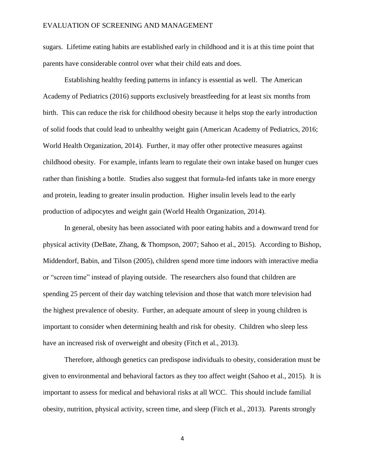sugars. Lifetime eating habits are established early in childhood and it is at this time point that parents have considerable control over what their child eats and does.

Establishing healthy feeding patterns in infancy is essential as well. The American Academy of Pediatrics (2016) supports exclusively breastfeeding for at least six months from birth. This can reduce the risk for childhood obesity because it helps stop the early introduction of solid foods that could lead to unhealthy weight gain (American Academy of Pediatrics, 2016; World Health Organization, 2014). Further, it may offer other protective measures against childhood obesity. For example, infants learn to regulate their own intake based on hunger cues rather than finishing a bottle. Studies also suggest that formula-fed infants take in more energy and protein, leading to greater insulin production. Higher insulin levels lead to the early production of adipocytes and weight gain (World Health Organization, 2014).

In general, obesity has been associated with poor eating habits and a downward trend for physical activity (DeBate, Zhang, & Thompson, 2007; Sahoo et al., 2015). According to Bishop, Middendorf, Babin, and Tilson (2005), children spend more time indoors with interactive media or "screen time" instead of playing outside. The researchers also found that children are spending 25 percent of their day watching television and those that watch more television had the highest prevalence of obesity. Further, an adequate amount of sleep in young children is important to consider when determining health and risk for obesity. Children who sleep less have an increased risk of overweight and obesity (Fitch et al., 2013).

Therefore, although genetics can predispose individuals to obesity, consideration must be given to environmental and behavioral factors as they too affect weight (Sahoo et al., 2015). It is important to assess for medical and behavioral risks at all WCC. This should include familial obesity, nutrition, physical activity, screen time, and sleep (Fitch et al., 2013). Parents strongly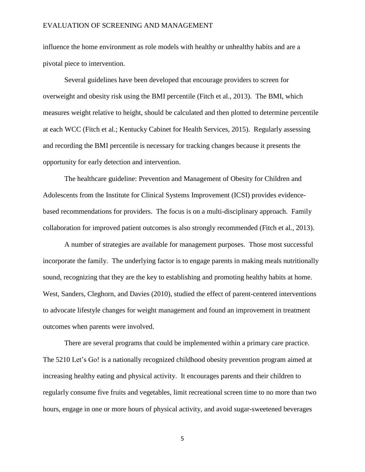influence the home environment as role models with healthy or unhealthy habits and are a pivotal piece to intervention.

Several guidelines have been developed that encourage providers to screen for overweight and obesity risk using the BMI percentile (Fitch et al., 2013). The BMI, which measures weight relative to height, should be calculated and then plotted to determine percentile at each WCC (Fitch et al.; Kentucky Cabinet for Health Services, 2015). Regularly assessing and recording the BMI percentile is necessary for tracking changes because it presents the opportunity for early detection and intervention.

The healthcare guideline: Prevention and Management of Obesity for Children and Adolescents from the Institute for Clinical Systems Improvement (ICSI) provides evidencebased recommendations for providers. The focus is on a multi-disciplinary approach. Family collaboration for improved patient outcomes is also strongly recommended (Fitch et al., 2013).

A number of strategies are available for management purposes. Those most successful incorporate the family. The underlying factor is to engage parents in making meals nutritionally sound, recognizing that they are the key to establishing and promoting healthy habits at home. West, Sanders, Cleghorn, and Davies (2010), studied the effect of parent-centered interventions to advocate lifestyle changes for weight management and found an improvement in treatment outcomes when parents were involved.

There are several programs that could be implemented within a primary care practice. The 5210 Let's Go! is a nationally recognized childhood obesity prevention program aimed at increasing healthy eating and physical activity. It encourages parents and their children to regularly consume five fruits and vegetables, limit recreational screen time to no more than two hours, engage in one or more hours of physical activity, and avoid sugar-sweetened beverages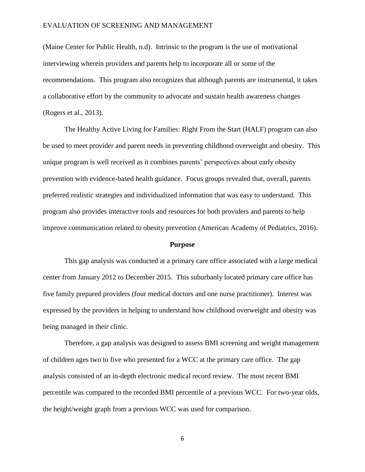(Maine Center for Public Health, n.d). Intrinsic to the program is the use of motivational interviewing wherein providers and parents help to incorporate all or some of the recommendations. This program also recognizes that although parents are instrumental, it takes a collaborative effort by the community to advocate and sustain health awareness changes (Rogers et al., 2013).

The Healthy Active Living for Families: Right From the Start (HALF) program can also be used to meet provider and parent needs in preventing childhood overweight and obesity. This unique program is well received as it combines parents' perspectives about early obesity prevention with evidence-based health guidance. Focus groups revealed that, overall, parents preferred realistic strategies and individualized information that was easy to understand. This program also provides interactive tools and resources for both providers and parents to help improve communication related to obesity prevention (American Academy of Pediatrics, 2016).

#### **Purpose**

This gap analysis was conducted at a primary care office associated with a large medical center from January 2012 to December 2015. This suburbanly located primary care office has five family prepared providers (four medical doctors and one nurse practitioner). Interest was expressed by the providers in helping to understand how childhood overweight and obesity was being managed in their clinic.

Therefore, a gap analysis was designed to assess BMI screening and weight management of children ages two to five who presented for a WCC at the primary care office. The gap analysis consisted of an in-depth electronic medical record review. The most recent BMI percentile was compared to the recorded BMI percentile of a previous WCC. For two-year olds, the height/weight graph from a previous WCC was used for comparison.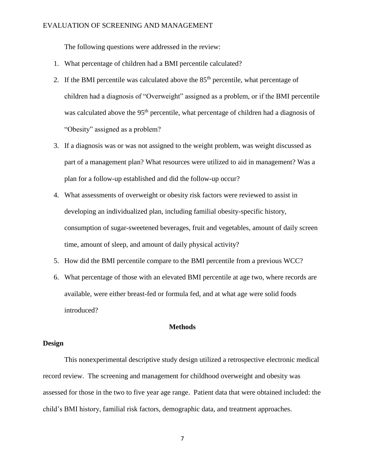The following questions were addressed in the review:

- 1. What percentage of children had a BMI percentile calculated?
- 2. If the BMI percentile was calculated above the  $85<sup>th</sup>$  percentile, what percentage of children had a diagnosis of "Overweight" assigned as a problem, or if the BMI percentile was calculated above the 95<sup>th</sup> percentile, what percentage of children had a diagnosis of "Obesity" assigned as a problem?
- 3. If a diagnosis was or was not assigned to the weight problem, was weight discussed as part of a management plan? What resources were utilized to aid in management? Was a plan for a follow-up established and did the follow-up occur?
- 4. What assessments of overweight or obesity risk factors were reviewed to assist in developing an individualized plan, including familial obesity-specific history, consumption of sugar-sweetened beverages, fruit and vegetables, amount of daily screen time, amount of sleep, and amount of daily physical activity?
- 5. How did the BMI percentile compare to the BMI percentile from a previous WCC?
- 6. What percentage of those with an elevated BMI percentile at age two, where records are available, were either breast-fed or formula fed, and at what age were solid foods introduced?

### **Methods**

#### **Design**

This nonexperimental descriptive study design utilized a retrospective electronic medical record review. The screening and management for childhood overweight and obesity was assessed for those in the two to five year age range. Patient data that were obtained included: the child's BMI history, familial risk factors, demographic data, and treatment approaches.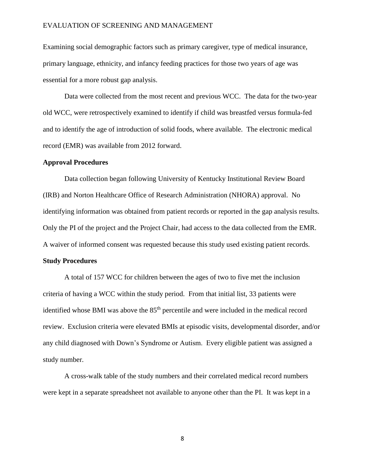Examining social demographic factors such as primary caregiver, type of medical insurance, primary language, ethnicity, and infancy feeding practices for those two years of age was essential for a more robust gap analysis.

Data were collected from the most recent and previous WCC. The data for the two-year old WCC, were retrospectively examined to identify if child was breastfed versus formula-fed and to identify the age of introduction of solid foods, where available. The electronic medical record (EMR) was available from 2012 forward.

### **Approval Procedures**

Data collection began following University of Kentucky Institutional Review Board (IRB) and Norton Healthcare Office of Research Administration (NHORA) approval. No identifying information was obtained from patient records or reported in the gap analysis results. Only the PI of the project and the Project Chair, had access to the data collected from the EMR. A waiver of informed consent was requested because this study used existing patient records.

#### **Study Procedures**

A total of 157 WCC for children between the ages of two to five met the inclusion criteria of having a WCC within the study period. From that initial list, 33 patients were identified whose BMI was above the 85<sup>th</sup> percentile and were included in the medical record review. Exclusion criteria were elevated BMIs at episodic visits, developmental disorder, and/or any child diagnosed with Down's Syndrome or Autism. Every eligible patient was assigned a study number.

A cross-walk table of the study numbers and their correlated medical record numbers were kept in a separate spreadsheet not available to anyone other than the PI. It was kept in a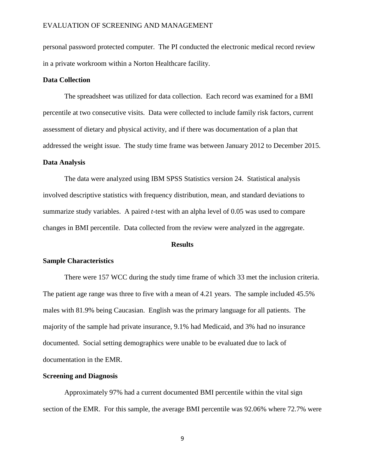personal password protected computer. The PI conducted the electronic medical record review in a private workroom within a Norton Healthcare facility.

### **Data Collection**

The spreadsheet was utilized for data collection. Each record was examined for a BMI percentile at two consecutive visits. Data were collected to include family risk factors, current assessment of dietary and physical activity, and if there was documentation of a plan that addressed the weight issue. The study time frame was between January 2012 to December 2015.

### **Data Analysis**

The data were analyzed using IBM SPSS Statistics version 24. Statistical analysis involved descriptive statistics with frequency distribution, mean, and standard deviations to summarize study variables. A paired *t*-test with an alpha level of 0.05 was used to compare changes in BMI percentile. Data collected from the review were analyzed in the aggregate.

#### **Results**

#### **Sample Characteristics**

There were 157 WCC during the study time frame of which 33 met the inclusion criteria. The patient age range was three to five with a mean of 4.21 years. The sample included 45.5% males with 81.9% being Caucasian. English was the primary language for all patients. The majority of the sample had private insurance, 9.1% had Medicaid, and 3% had no insurance documented. Social setting demographics were unable to be evaluated due to lack of documentation in the EMR.

#### **Screening and Diagnosis**

Approximately 97% had a current documented BMI percentile within the vital sign section of the EMR. For this sample, the average BMI percentile was 92.06% where 72.7% were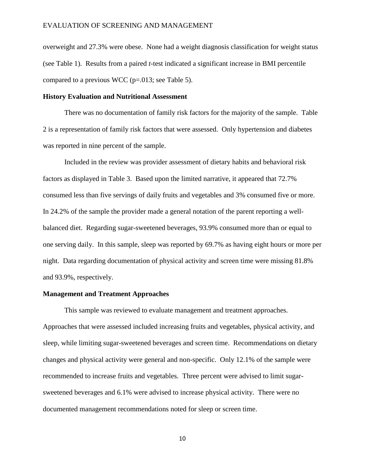overweight and 27.3% were obese. None had a weight diagnosis classification for weight status (see Table 1). Results from a paired *t*-test indicated a significant increase in BMI percentile compared to a previous WCC ( $p=0.013$ ; see Table 5).

### **History Evaluation and Nutritional Assessment**

There was no documentation of family risk factors for the majority of the sample. Table 2 is a representation of family risk factors that were assessed. Only hypertension and diabetes was reported in nine percent of the sample.

Included in the review was provider assessment of dietary habits and behavioral risk factors as displayed in Table 3. Based upon the limited narrative, it appeared that 72.7% consumed less than five servings of daily fruits and vegetables and 3% consumed five or more. In 24.2% of the sample the provider made a general notation of the parent reporting a wellbalanced diet. Regarding sugar-sweetened beverages, 93.9% consumed more than or equal to one serving daily. In this sample, sleep was reported by 69.7% as having eight hours or more per night. Data regarding documentation of physical activity and screen time were missing 81.8% and 93.9%, respectively.

### **Management and Treatment Approaches**

This sample was reviewed to evaluate management and treatment approaches. Approaches that were assessed included increasing fruits and vegetables, physical activity, and sleep, while limiting sugar-sweetened beverages and screen time. Recommendations on dietary changes and physical activity were general and non-specific. Only 12.1% of the sample were recommended to increase fruits and vegetables. Three percent were advised to limit sugarsweetened beverages and 6.1% were advised to increase physical activity. There were no documented management recommendations noted for sleep or screen time.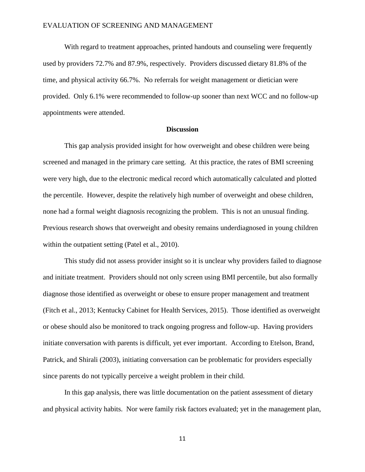With regard to treatment approaches, printed handouts and counseling were frequently used by providers 72.7% and 87.9%, respectively. Providers discussed dietary 81.8% of the time, and physical activity 66.7%. No referrals for weight management or dietician were provided. Only 6.1% were recommended to follow-up sooner than next WCC and no follow-up appointments were attended.

### **Discussion**

This gap analysis provided insight for how overweight and obese children were being screened and managed in the primary care setting. At this practice, the rates of BMI screening were very high, due to the electronic medical record which automatically calculated and plotted the percentile. However, despite the relatively high number of overweight and obese children, none had a formal weight diagnosis recognizing the problem. This is not an unusual finding. Previous research shows that overweight and obesity remains underdiagnosed in young children within the outpatient setting (Patel et al., 2010).

This study did not assess provider insight so it is unclear why providers failed to diagnose and initiate treatment. Providers should not only screen using BMI percentile, but also formally diagnose those identified as overweight or obese to ensure proper management and treatment (Fitch et al., 2013; Kentucky Cabinet for Health Services, 2015). Those identified as overweight or obese should also be monitored to track ongoing progress and follow-up. Having providers initiate conversation with parents is difficult, yet ever important. According to Etelson, Brand, Patrick, and Shirali (2003), initiating conversation can be problematic for providers especially since parents do not typically perceive a weight problem in their child.

In this gap analysis, there was little documentation on the patient assessment of dietary and physical activity habits. Nor were family risk factors evaluated; yet in the management plan,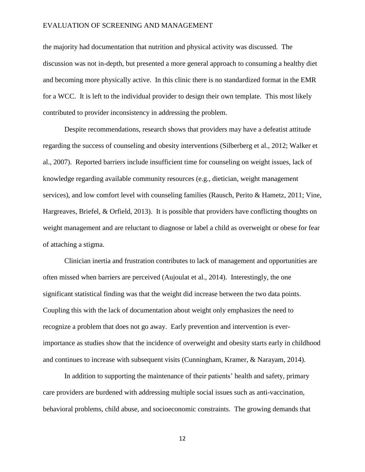the majority had documentation that nutrition and physical activity was discussed. The discussion was not in-depth, but presented a more general approach to consuming a healthy diet and becoming more physically active. In this clinic there is no standardized format in the EMR for a WCC. It is left to the individual provider to design their own template. This most likely contributed to provider inconsistency in addressing the problem.

Despite recommendations, research shows that providers may have a defeatist attitude regarding the success of counseling and obesity interventions (Silberberg et al., 2012; Walker et al., 2007). Reported barriers include insufficient time for counseling on weight issues, lack of knowledge regarding available community resources (e.g., dietician, weight management services), and low comfort level with counseling families (Rausch, Perito & Hametz, 2011; Vine, Hargreaves, Briefel, & Orfield, 2013). It is possible that providers have conflicting thoughts on weight management and are reluctant to diagnose or label a child as overweight or obese for fear of attaching a stigma.

Clinician inertia and frustration contributes to lack of management and opportunities are often missed when barriers are perceived (Aujoulat et al., 2014). Interestingly, the one significant statistical finding was that the weight did increase between the two data points. Coupling this with the lack of documentation about weight only emphasizes the need to recognize a problem that does not go away. Early prevention and intervention is everimportance as studies show that the incidence of overweight and obesity starts early in childhood and continues to increase with subsequent visits (Cunningham, Kramer, & Narayam, 2014).

In addition to supporting the maintenance of their patients' health and safety, primary care providers are burdened with addressing multiple social issues such as anti-vaccination, behavioral problems, child abuse, and socioeconomic constraints. The growing demands that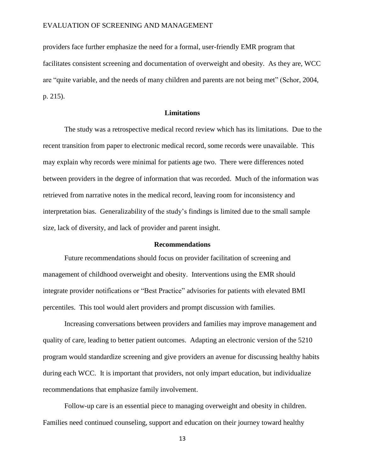providers face further emphasize the need for a formal, user-friendly EMR program that facilitates consistent screening and documentation of overweight and obesity. As they are, WCC are "quite variable, and the needs of many children and parents are not being met" (Schor, 2004, p. 215).

### **Limitations**

The study was a retrospective medical record review which has its limitations. Due to the recent transition from paper to electronic medical record, some records were unavailable. This may explain why records were minimal for patients age two. There were differences noted between providers in the degree of information that was recorded. Much of the information was retrieved from narrative notes in the medical record, leaving room for inconsistency and interpretation bias. Generalizability of the study's findings is limited due to the small sample size, lack of diversity, and lack of provider and parent insight.

#### **Recommendations**

Future recommendations should focus on provider facilitation of screening and management of childhood overweight and obesity. Interventions using the EMR should integrate provider notifications or "Best Practice" advisories for patients with elevated BMI percentiles. This tool would alert providers and prompt discussion with families.

Increasing conversations between providers and families may improve management and quality of care, leading to better patient outcomes. Adapting an electronic version of the 5210 program would standardize screening and give providers an avenue for discussing healthy habits during each WCC. It is important that providers, not only impart education, but individualize recommendations that emphasize family involvement.

Follow-up care is an essential piece to managing overweight and obesity in children. Families need continued counseling, support and education on their journey toward healthy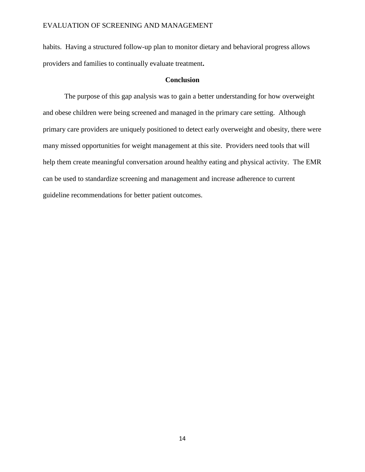habits. Having a structured follow-up plan to monitor dietary and behavioral progress allows providers and families to continually evaluate treatment**.**

### **Conclusion**

The purpose of this gap analysis was to gain a better understanding for how overweight and obese children were being screened and managed in the primary care setting. Although primary care providers are uniquely positioned to detect early overweight and obesity, there were many missed opportunities for weight management at this site. Providers need tools that will help them create meaningful conversation around healthy eating and physical activity. The EMR can be used to standardize screening and management and increase adherence to current guideline recommendations for better patient outcomes.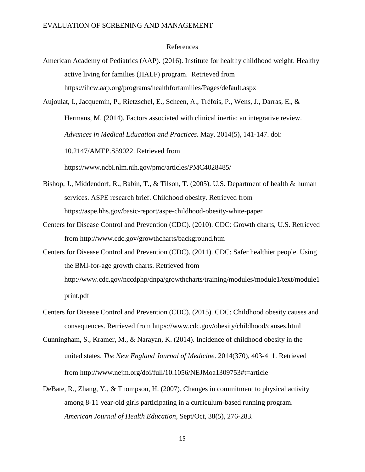#### References

American Academy of Pediatrics (AAP). (2016). Institute for healthy childhood weight. Healthy active living for families (HALF) program. Retrieved from https://ihcw.aap.org/programs/healthforfamilies/Pages/default.aspx

Aujoulat, I., Jacquemin, P., Rietzschel, E., Scheen, A., Tréfois, P., Wens, J., Darras, E., & Hermans, M. (2014). Factors associated with clinical inertia: an integrative review. *Advances in Medical Education and Practices.* May, 2014(5), 141-147. doi: 10.2147/AMEP.S59022. Retrieved from

https://www.ncbi.nlm.nih.gov/pmc/articles/PMC4028485/

- Bishop, J., Middendorf, R., Babin, T., & Tilson, T. (2005). U.S. Department of health & human services. ASPE research brief. Childhood obesity. Retrieved from https://aspe.hhs.gov/basic-report/aspe-childhood-obesity-white-paper
- Centers for Disease Control and Prevention (CDC). (2010). CDC: Growth charts, U.S. Retrieved from <http://www.cdc.gov/growthcharts/background.htm>
- Centers for Disease Control and Prevention (CDC). (2011). CDC: Safer healthier people. Using the BMI-for-age growth charts. Retrieved from [http://www.cdc.gov/nccdphp/dnpa/growthcharts/training/modules/module1/text/module1](http://www.cdc.gov/nccdphp/dnpa/growthcharts/training/modules/module1/text/module1print.pdf) [print.pdf](http://www.cdc.gov/nccdphp/dnpa/growthcharts/training/modules/module1/text/module1print.pdf)
- Centers for Disease Control and Prevention (CDC). (2015). CDC: Childhood obesity causes and consequences. Retrieved from https://www.cdc.gov/obesity/childhood/causes.html
- Cunningham, S., Kramer, M., & Narayan, K. (2014). Incidence of childhood obesity in the united states. *The New England Journal of Medicine*. 2014(370), 403-411. Retrieved from http://www.nejm.org/doi/full/10.1056/NEJMoa1309753#t=article
- DeBate, R., Zhang, Y., & Thompson, H. (2007). Changes in commitment to physical activity among 8-11 year-old girls participating in a curriculum-based running program. *American Journal of Health Education*, Sept/Oct, 38(5), 276-283.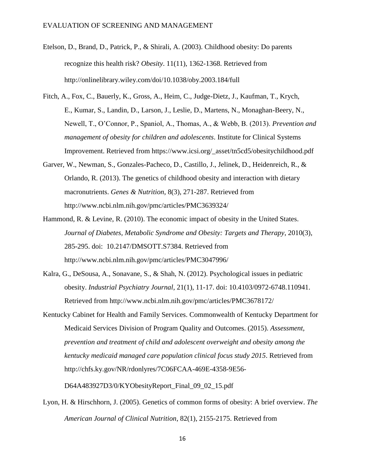- Etelson, D., Brand, D., Patrick, P., & Shirali, A. (2003). Childhood obesity: Do parents recognize this health risk? *Obesity*. 11(11), 1362-1368. Retrieved from http://onlinelibrary.wiley.com/doi/10.1038/oby.2003.184/full
- Fitch, A., Fox, C., Bauerly, K., Gross, A., Heim, C., Judge-Dietz, J., Kaufman, T., Krych, E., Kumar, S., Landin, D., Larson, J., Leslie, D., Martens, N., Monaghan-Beery, N., Newell, T., O'Connor, P., Spaniol, A., Thomas, A., & Webb, B. (2013). *Prevention and management of obesity for children and adolescents*. Institute for Clinical Systems Improvement. Retrieved from https://www.icsi.org/\_asset/tn5cd5/obesitychildhood.pdf
- Garver, W., Newman, S., Gonzales-Pacheco, D., Castillo, J., Jelinek, D., Heidenreich, R., & Orlando, R. (2013). The genetics of childhood obesity and interaction with dietary macronutrients. *Genes & Nutrition*, 8(3), 271-287. Retrieved from http://www.ncbi.nlm.nih.gov/pmc/articles/PMC3639324/
- Hammond, R. & Levine, R. (2010). The economic impact of obesity in the United States. *Journal of Diabetes, Metabolic Syndrome and Obesity: Targets and Therapy*, 2010(3), 285-295. doi: 10.2147/DMSOTT.S7384. Retrieved from http://www.ncbi.nlm.nih.gov/pmc/articles/PMC3047996/
- Kalra, G., DeSousa, A., Sonavane, S., & Shah, N. (2012). Psychological issues in pediatric obesity. *Industrial Psychiatry Journal*, 21(1), 11-17. doi: 10.4103/0972-6748.110941. Retrieved from<http://www.ncbi.nlm.nih.gov/pmc/articles/PMC3678172/>
- Kentucky Cabinet for Health and Family Services. Commonwealth of Kentucky Department for Medicaid Services Division of Program Quality and Outcomes. (2015). *Assessment, prevention and treatment of child and adolescent overweight and obesity among the kentucky medicaid managed care population clinical focus study 2015*. Retrieved from <http://chfs.ky.gov/NR/rdonlyres/7C06FCAA-469E-4358-9E56->

D64A483927D3/0/KYObesityReport\_Final\_09\_02\_15.pdf

Lyon, H. & Hirschhorn, J. (2005). Genetics of common forms of obesity: A brief overview. *The American Journal of Clinical Nutrition*, 82(1), 2155-2175. Retrieved from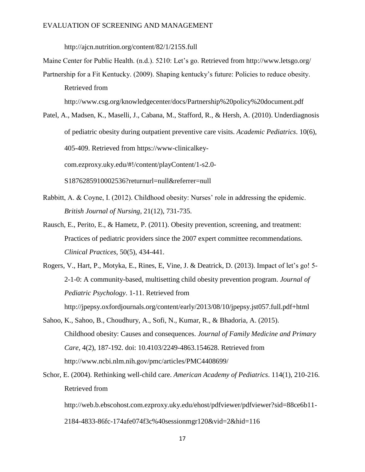http://ajcn.nutrition.org/content/82/1/215S.full

Maine Center for Public Health. (n.d.). 5210: Let's go. Retrieved from http://www.letsgo.org/

Partnership for a Fit Kentucky. (2009). Shaping kentucky's future: Policies to reduce obesity. Retrieved from

http://www.csg.org/knowledgecenter/docs/Partnership%20policy%20document.pdf

Patel, A., Madsen, K., Maselli, J., Cabana, M., Stafford, R., & Hersh, A. (2010). Underdiagnosis of pediatric obesity during outpatient preventive care visits. *Academic Pediatrics*. 10(6), 405-409. Retrieved from https://www-clinicalkeycom.ezproxy.uky.edu/#!/content/playContent/1-s2.0-

S1876285910002536?returnurl=null&referrer=null

- Rabbitt, A. & Coyne, I. (2012). Childhood obesity: Nurses' role in addressing the epidemic. *British Journal of Nursing*, 21(12), 731-735.
- Rausch, E., Perito, E., & Hametz, P. (2011). Obesity prevention, screening, and treatment: Practices of pediatric providers since the 2007 expert committee recommendations. *Clinical Practices*, 50(5), 434-441.
- Rogers, V., Hart, P., Motyka, E., Rines, E, Vine, J. & Deatrick, D. (2013). Impact of let's go! 5- 2-1-0: A community-based, multisetting child obesity prevention program. *Journal of Pediatric Psychology*. 1-11. Retrieved from http://jpepsy.oxfordjournals.org/content/early/2013/08/10/jpepsy.jst057.full.pdf+html
- Sahoo, K., Sahoo, B., Choudhury, A., Sofi, N., Kumar, R., & Bhadoria, A. (2015). Childhood obesity: Causes and consequences. *Journal of Family Medicine and Primary Care*, 4(2), 187-192. doi: 10.4103/2249-4863.154628. Retrieved from <http://www.ncbi.nlm.nih.gov/pmc/articles/PMC4408699/>
- Schor, E. (2004). Rethinking well-child care. *American Academy of Pediatrics*. 114(1), 210-216. Retrieved from

http://web.b.ebscohost.com.ezproxy.uky.edu/ehost/pdfviewer/pdfviewer?sid=88ce6b11-

2184-4833-86fc-174afe074f3c%40sessionmgr120&vid=2&hid=116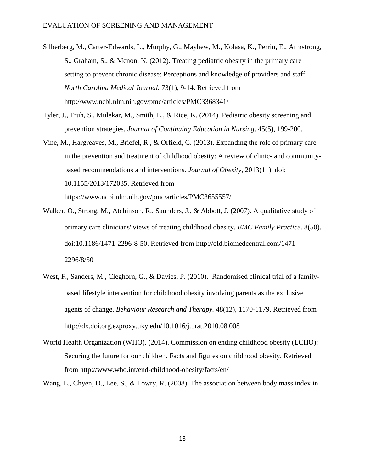Silberberg, M., Carter-Edwards, L., Murphy, G., Mayhew, M., Kolasa, K., Perrin, E., Armstrong, S., Graham, S., & Menon, N. (2012). Treating pediatric obesity in the primary care setting to prevent chronic disease: Perceptions and knowledge of providers and staff. *North Carolina Medical Journal.* 73(1), 9-14. Retrieved from http://www.ncbi.nlm.nih.gov/pmc/articles/PMC3368341/

- Tyler, J., Fruh, S., Mulekar, M., Smith, E., & Rice, K. (2014). Pediatric obesity screening and prevention strategies. *Journal of Continuing Education in Nursing*. 45(5), 199-200.
- Vine, M., Hargreaves, M., Briefel, R., & Orfield, C. (2013). Expanding the role of primary care in the prevention and treatment of childhood obesity: A review of clinic- and communitybased recommendations and interventions. *Journal of Obesity*, 2013(11). doi: 10.1155/2013/172035. Retrieved from https://www.ncbi.nlm.nih.gov/pmc/articles/PMC3655557/
- Walker, O., Strong, M., Atchinson, R., Saunders, J., & Abbott, J. (2007). A qualitative study of primary care clinicians' views of treating childhood obesity. *BMC Family Practice*. 8(50). doi:10.1186/1471-2296-8-50. Retrieved from http://old.biomedcentral.com/1471- 2296/8/50
- West, F., Sanders, M., Cleghorn, G., & Davies, P. (2010). Randomised clinical trial of a familybased lifestyle intervention for childhood obesity involving parents as the exclusive agents of change. *Behaviour Research and Therapy.* 48(12), 1170-1179. Retrieved from http://dx.doi.org.ezproxy.uky.edu/10.1016/j.brat.2010.08.008
- World Health Organization (WHO). (2014). Commission on ending childhood obesity (ECHO): Securing the future for our children. Facts and figures on childhood obesity. Retrieved from<http://www.who.int/end-childhood-obesity/facts/en/>

Wang, L., Chyen, D., Lee, S., & Lowry, R. (2008). The association between body mass index in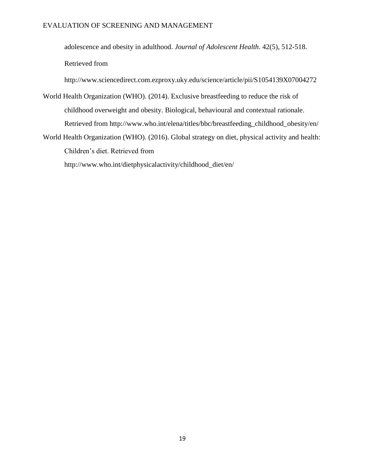adolescence and obesity in adulthood. *Journal of Adolescent Health*. 42(5), 512-518.

Retrieved from

http://www.sciencedirect.com.ezproxy.uky.edu/science/article/pii/S1054139X07004272

- World Health Organization (WHO). (2014). Exclusive breastfeeding to reduce the risk of childhood overweight and obesity. Biological, behavioural and contextual rationale. Retrieved from http://www.who.int/elena/titles/bbc/breastfeeding\_childhood\_obesity/en/
- World Health Organization (WHO). (2016). Global strategy on diet, physical activity and health: Children's diet. Retrieved from

http://www.who.int/dietphysicalactivity/childhood\_diet/en/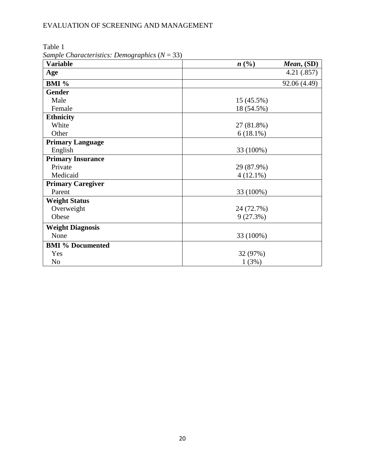| $sum$ $C1$ $C2$ $C3$ $C4$ $C5$ $C6$ $C7$ $C8$ $C9$ $C1$ $C1$ $C2$ $C3$<br><b>Variable</b> | n(%)<br>Mean, (SD) |  |
|-------------------------------------------------------------------------------------------|--------------------|--|
| Age                                                                                       | 4.21(.857)         |  |
| BMI %                                                                                     | 92.06 (4.49)       |  |
| <b>Gender</b>                                                                             |                    |  |
| Male                                                                                      | 15 (45.5%)         |  |
| Female                                                                                    | 18 (54.5%)         |  |
| <b>Ethnicity</b>                                                                          |                    |  |
| White                                                                                     | 27 (81.8%)         |  |
| Other                                                                                     | $6(18.1\%)$        |  |
| <b>Primary Language</b>                                                                   |                    |  |
| English                                                                                   | 33 (100%)          |  |
| <b>Primary Insurance</b>                                                                  |                    |  |
| Private                                                                                   | 29 (87.9%)         |  |
| Medicaid                                                                                  | $4(12.1\%)$        |  |
| <b>Primary Caregiver</b>                                                                  |                    |  |
| Parent                                                                                    | 33 (100%)          |  |
| <b>Weight Status</b>                                                                      |                    |  |
| Overweight                                                                                | 24 (72.7%)         |  |
| Obese                                                                                     | 9(27.3%)           |  |
| <b>Weight Diagnosis</b>                                                                   |                    |  |
| None                                                                                      | 33 (100%)          |  |
| <b>BMI % Documented</b>                                                                   |                    |  |
| Yes                                                                                       | 32 (97%)           |  |
| N <sub>o</sub>                                                                            | 1(3%)              |  |

Table 1 *Sample Characteristics: Demographics* (*N* = 33)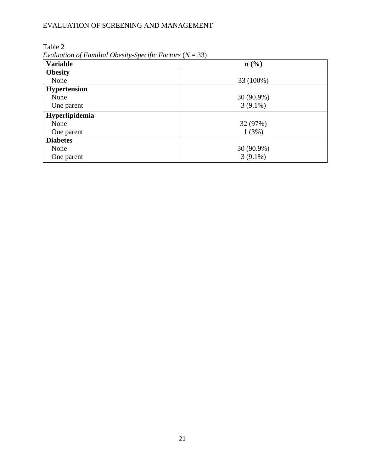Table 2

*Evaluation of Familial Obesity-Specific Factors* (*N* = 33)

| <b>Variable</b>     | $\blacksquare$ , annoncent of $\blacksquare$ and annoncent of $\blacksquare$<br>n(%) |  |
|---------------------|--------------------------------------------------------------------------------------|--|
| <b>Obesity</b>      |                                                                                      |  |
| None                | 33 (100%)                                                                            |  |
| <b>Hypertension</b> |                                                                                      |  |
| None                | 30 (90.9%)                                                                           |  |
| One parent          | $3(9.1\%)$                                                                           |  |
| Hyperlipidemia      |                                                                                      |  |
| None                | 32 (97%)                                                                             |  |
| One parent          | 1(3%)                                                                                |  |
| <b>Diabetes</b>     |                                                                                      |  |
| None                | 30 (90.9%)                                                                           |  |
| One parent          | $3(9.1\%)$                                                                           |  |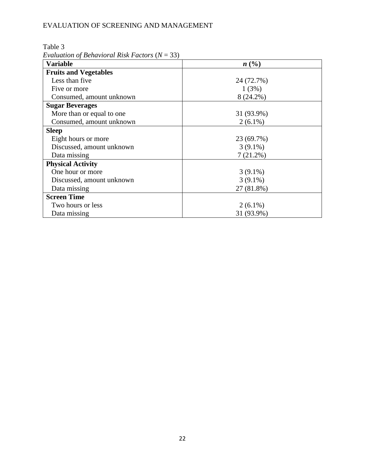Table 3

*Evaluation of Behavioral Risk Factors* (*N* = 33)

| <b>Variable</b>              | n(%)        |
|------------------------------|-------------|
| <b>Fruits and Vegetables</b> |             |
| Less than five               | 24 (72.7%)  |
| Five or more                 | 1(3%)       |
| Consumed, amount unknown     | $8(24.2\%)$ |
| <b>Sugar Beverages</b>       |             |
| More than or equal to one    | 31 (93.9%)  |
| Consumed, amount unknown     | $2(6.1\%)$  |
| <b>Sleep</b>                 |             |
| Eight hours or more          | 23 (69.7%)  |
| Discussed, amount unknown    | $3(9.1\%)$  |
| Data missing                 | $7(21.2\%)$ |
| <b>Physical Activity</b>     |             |
| One hour or more             | $3(9.1\%)$  |
| Discussed, amount unknown    | $3(9.1\%)$  |
| Data missing                 | 27 (81.8%)  |
| <b>Screen Time</b>           |             |
| Two hours or less            | $2(6.1\%)$  |
| Data missing                 | 31 (93.9%)  |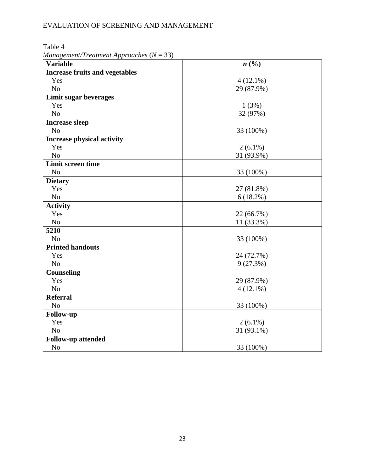Table 4

*Management/Treatment Approaches* (*N* = 33)

| <b>Variable</b>                       | n(%)        |  |  |
|---------------------------------------|-------------|--|--|
| <b>Increase fruits and vegetables</b> |             |  |  |
| Yes                                   | $4(12.1\%)$ |  |  |
| N <sub>o</sub>                        | 29 (87.9%)  |  |  |
| Limit sugar beverages                 |             |  |  |
| Yes                                   | 1(3%)       |  |  |
| N <sub>o</sub>                        | 32 (97%)    |  |  |
| <b>Increase sleep</b>                 |             |  |  |
| N <sub>o</sub>                        | 33 (100%)   |  |  |
| <b>Increase physical activity</b>     |             |  |  |
| Yes                                   | $2(6.1\%)$  |  |  |
| N <sub>o</sub>                        | 31 (93.9%)  |  |  |
| <b>Limit screen time</b>              |             |  |  |
| N <sub>o</sub>                        | 33 (100%)   |  |  |
| <b>Dietary</b>                        |             |  |  |
| Yes                                   | 27 (81.8%)  |  |  |
| N <sub>o</sub>                        | $6(18.2\%)$ |  |  |
| <b>Activity</b>                       |             |  |  |
| Yes                                   | 22 (66.7%)  |  |  |
| N <sub>o</sub>                        | 11 (33.3%)  |  |  |
| 5210                                  |             |  |  |
| N <sub>o</sub>                        | 33 (100%)   |  |  |
| <b>Printed handouts</b>               |             |  |  |
| Yes                                   | 24 (72.7%)  |  |  |
| N <sub>o</sub>                        | 9(27.3%)    |  |  |
| Counseling                            |             |  |  |
| Yes                                   | 29 (87.9%)  |  |  |
| N <sub>o</sub>                        | $4(12.1\%)$ |  |  |
| <b>Referral</b>                       |             |  |  |
| N <sub>o</sub>                        | 33 (100%)   |  |  |
| Follow-up                             |             |  |  |
| Yes                                   | $2(6.1\%)$  |  |  |
| N <sub>o</sub>                        | 31 (93.1%)  |  |  |
| Follow-up attended                    |             |  |  |
| N <sub>o</sub>                        | 33 (100%)   |  |  |